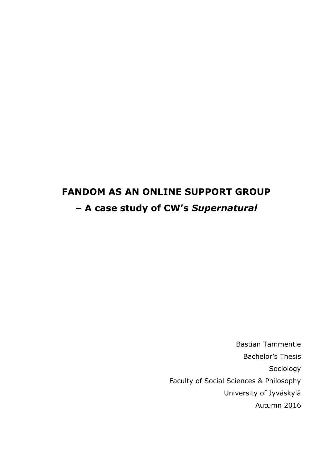# **FANDOM AS AN ONLINE SUPPORT GROUP – A case study of CW's** *Supernatural*

Bastian Tammentie Bachelor's Thesis Sociology Faculty of Social Sciences & Philosophy University of Jyväskylä Autumn 2016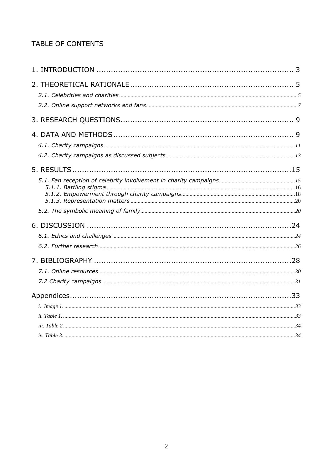# TABLE OF CONTENTS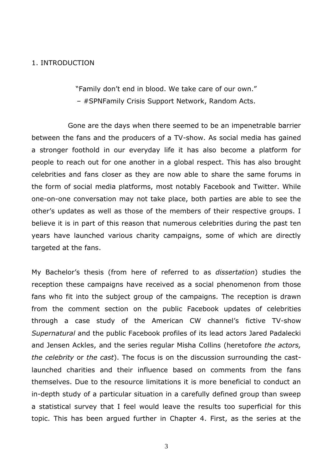#### <span id="page-2-0"></span>1. INTRODUCTION

"Family don't end in blood. We take care of our own." – #SPNFamily Crisis Support Network, Random Acts.

Gone are the days when there seemed to be an impenetrable barrier between the fans and the producers of a TV-show. As social media has gained a stronger foothold in our everyday life it has also become a platform for people to reach out for one another in a global respect. This has also brought celebrities and fans closer as they are now able to share the same forums in the form of social media platforms, most notably Facebook and Twitter. While one-on-one conversation may not take place, both parties are able to see the other's updates as well as those of the members of their respective groups. I believe it is in part of this reason that numerous celebrities during the past ten years have launched various charity campaigns, some of which are directly targeted at the fans.

My Bachelor's thesis (from here of referred to as *dissertation*) studies the reception these campaigns have received as a social phenomenon from those fans who fit into the subject group of the campaigns. The reception is drawn from the comment section on the public Facebook updates of celebrities through a case study of the American CW channel's fictive TV-show *Supernatural* and the public Facebook profiles of its lead actors Jared Padalecki and Jensen Ackles, and the series regular Misha Collins (heretofore *the actors, the celebrity* or *the cast*). The focus is on the discussion surrounding the castlaunched charities and their influence based on comments from the fans themselves. Due to the resource limitations it is more beneficial to conduct an in-depth study of a particular situation in a carefully defined group than sweep a statistical survey that I feel would leave the results too superficial for this topic. This has been argued further in Chapter 4. First, as the series at the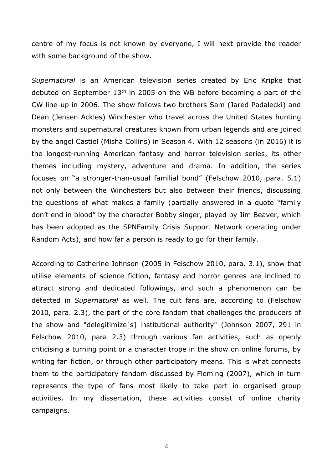centre of my focus is not known by everyone, I will next provide the reader with some background of the show.

*Supernatural* is an American television series created by Eric Kripke that debuted on September  $13<sup>th</sup>$  in 2005 on the WB before becoming a part of the CW line-up in 2006. The show follows two brothers Sam (Jared Padalecki) and Dean (Jensen Ackles) Winchester who travel across the United States hunting monsters and supernatural creatures known from urban legends and are joined by the angel Castiel (Misha Collins) in Season 4. With 12 seasons (in 2016) it is the longest-running American fantasy and horror television series, its other themes including mystery, adventure and drama. In addition, the series focuses on "a stronger-than-usual familial bond" (Felschow 2010, para. 5.1) not only between the Winchesters but also between their friends, discussing the questions of what makes a family (partially answered in a quote "family don't end in blood" by the character Bobby singer, played by Jim Beaver, which has been adopted as the SPNFamily Crisis Support Network operating under Random Acts), and how far a person is ready to go for their family.

According to Catherine Johnson (2005 in Felschow 2010, para. 3.1), show that utilise elements of science fiction, fantasy and horror genres are inclined to attract strong and dedicated followings, and such a phenomenon can be detected in *Supernatural* as well. The cult fans are, according to (Felschow 2010, para. 2.3), the part of the core fandom that challenges the producers of the show and "delegitimize[s] institutional authority" (Johnson 2007, 291 in Felschow 2010, para 2.3) through various fan activities, such as openly criticising a turning point or a character trope in the show on online forums, by writing fan fiction, or through other participatory means. This is what connects them to the participatory fandom discussed by Fleming (2007), which in turn represents the type of fans most likely to take part in organised group activities. In my dissertation, these activities consist of online charity campaigns.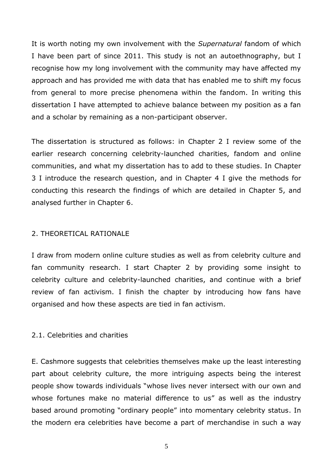It is worth noting my own involvement with the *Supernatural* fandom of which I have been part of since 2011. This study is not an autoethnography, but I recognise how my long involvement with the community may have affected my approach and has provided me with data that has enabled me to shift my focus from general to more precise phenomena within the fandom. In writing this dissertation I have attempted to achieve balance between my position as a fan and a scholar by remaining as a non-participant observer.

The dissertation is structured as follows: in Chapter 2 I review some of the earlier research concerning celebrity-launched charities, fandom and online communities, and what my dissertation has to add to these studies. In Chapter 3 I introduce the research question, and in Chapter 4 I give the methods for conducting this research the findings of which are detailed in Chapter 5, and analysed further in Chapter 6.

# <span id="page-4-0"></span>2. THEORETICAL RATIONALE

I draw from modern online culture studies as well as from celebrity culture and fan community research. I start Chapter 2 by providing some insight to celebrity culture and celebrity-launched charities, and continue with a brief review of fan activism. I finish the chapter by introducing how fans have organised and how these aspects are tied in fan activism.

# <span id="page-4-1"></span>2.1. Celebrities and charities

E. Cashmore suggests that celebrities themselves make up the least interesting part about celebrity culture, the more intriguing aspects being the interest people show towards individuals "whose lives never intersect with our own and whose fortunes make no material difference to us" as well as the industry based around promoting "ordinary people" into momentary celebrity status. In the modern era celebrities have become a part of merchandise in such a way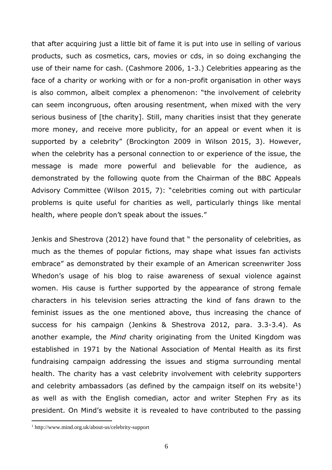that after acquiring just a little bit of fame it is put into use in selling of various products, such as cosmetics, cars, movies or cds, in so doing exchanging the use of their name for cash. (Cashmore 2006, 1-3.) Celebrities appearing as the face of a charity or working with or for a non-profit organisation in other ways is also common, albeit complex a phenomenon: "the involvement of celebrity can seem incongruous, often arousing resentment, when mixed with the very serious business of [the charity]. Still, many charities insist that they generate more money, and receive more publicity, for an appeal or event when it is supported by a celebrity" (Brockington 2009 in Wilson 2015, 3). However, when the celebrity has a personal connection to or experience of the issue, the message is made more powerful and believable for the audience, as demonstrated by the following quote from the Chairman of the BBC Appeals Advisory Committee (Wilson 2015, 7): "celebrities coming out with particular problems is quite useful for charities as well, particularly things like mental health, where people don't speak about the issues."

Jenkis and Shestrova (2012) have found that " the personality of celebrities, as much as the themes of popular fictions, may shape what issues fan activists embrace" as demonstrated by their example of an American screenwriter Joss Whedon's usage of his blog to raise awareness of sexual violence against women. His cause is further supported by the appearance of strong female characters in his television series attracting the kind of fans drawn to the feminist issues as the one mentioned above, thus increasing the chance of success for his campaign (Jenkins & Shestrova 2012, para. 3.3-3.4). As another example, the *Mind* charity originating from the United Kingdom was established in 1971 by the National Association of Mental Health as its first fundraising campaign addressing the issues and stigma surrounding mental health. The charity has a vast celebrity involvement with celebrity supporters and celebrity ambassadors (as defined by the campaign itself on its website<sup>1</sup>) as well as with the English comedian, actor and writer Stephen Fry as its president. On Mind's website it is revealed to have contributed to the passing

<sup>1</sup> http://www.mind.org.uk/about-us/celebrity-support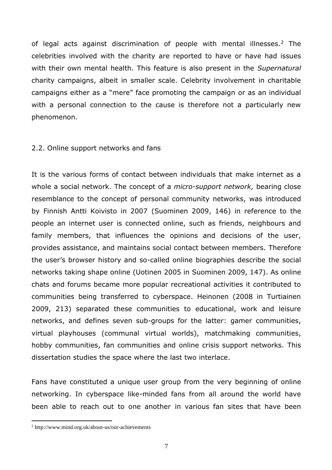of legal acts against discrimination of people with mental illnesses.<sup>2</sup> The celebrities involved with the charity are reported to have or have had issues with their own mental health. This feature is also present in the *Supernatural* charity campaigns, albeit in smaller scale. Celebrity involvement in charitable campaigns either as a "mere" face promoting the campaign or as an individual with a personal connection to the cause is therefore not a particularly new phenomenon.

# <span id="page-6-0"></span>2.2. Online support networks and fans

It is the various forms of contact between individuals that make internet as a whole a social network. The concept of a *micro-support network,* bearing close resemblance to the concept of personal community networks, was introduced by Finnish Antti Koivisto in 2007 (Suominen 2009, 146) in reference to the people an internet user is connected online, such as friends, neighbours and family members, that influences the opinions and decisions of the user, provides assistance, and maintains social contact between members. Therefore the user's browser history and so-called online biographies describe the social networks taking shape online (Uotinen 2005 in Suominen 2009, 147). As online chats and forums became more popular recreational activities it contributed to communities being transferred to cyberspace. Heinonen (2008 in Turtiainen 2009, 213) separated these communities to educational, work and leisure networks, and defines seven sub-groups for the latter: gamer communities, virtual playhouses (communal virtual worlds), matchmaking communities, hobby communities, fan communities and online crisis support networks. This dissertation studies the space where the last two interlace.

Fans have constituted a unique user group from the very beginning of online networking. In cyberspace like-minded fans from all around the world have been able to reach out to one another in various fan sites that have been

<sup>2</sup> http://www.mind.org.uk/about-us/our-achievements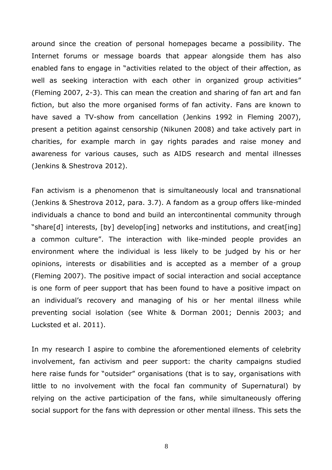around since the creation of personal homepages became a possibility. The Internet forums or message boards that appear alongside them has also enabled fans to engage in "activities related to the object of their affection, as well as seeking interaction with each other in organized group activities" (Fleming 2007, 2-3). This can mean the creation and sharing of fan art and fan fiction, but also the more organised forms of fan activity. Fans are known to have saved a TV-show from cancellation (Jenkins 1992 in Fleming 2007), present a petition against censorship (Nikunen 2008) and take actively part in charities, for example march in gay rights parades and raise money and awareness for various causes, such as AIDS research and mental illnesses (Jenkins & Shestrova 2012).

Fan activism is a phenomenon that is simultaneously local and transnational (Jenkins & Shestrova 2012, para. 3.7). A fandom as a group offers like-minded individuals a chance to bond and build an intercontinental community through "share[d] interests, [by] develop[ing] networks and institutions, and creat[ing] a common culture". The interaction with like-minded people provides an environment where the individual is less likely to be judged by his or her opinions, interests or disabilities and is accepted as a member of a group (Fleming 2007). The positive impact of social interaction and social acceptance is one form of peer support that has been found to have a positive impact on an individual's recovery and managing of his or her mental illness while preventing social isolation (see White & Dorman 2001; Dennis 2003; and Lucksted et al. 2011).

In my research I aspire to combine the aforementioned elements of celebrity involvement, fan activism and peer support: the charity campaigns studied here raise funds for "outsider" organisations (that is to say, organisations with little to no involvement with the focal fan community of Supernatural) by relying on the active participation of the fans, while simultaneously offering social support for the fans with depression or other mental illness. This sets the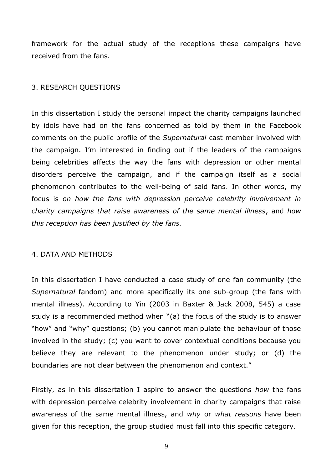framework for the actual study of the receptions these campaigns have received from the fans.

# <span id="page-8-0"></span>3. RESEARCH QUESTIONS

In this dissertation I study the personal impact the charity campaigns launched by idols have had on the fans concerned as told by them in the Facebook comments on the public profile of the *Supernatural* cast member involved with the campaign. I'm interested in finding out if the leaders of the campaigns being celebrities affects the way the fans with depression or other mental disorders perceive the campaign, and if the campaign itself as a social phenomenon contributes to the well-being of said fans. In other words, my focus is *on how the fans with depression perceive celebrity involvement in charity campaigns that raise awareness of the same mental illness*, and *how this reception has been justified by the fans.*

## <span id="page-8-1"></span>4. DATA AND METHODS

In this dissertation I have conducted a case study of one fan community (the *Supernatural* fandom) and more specifically its one sub-group (the fans with mental illness). According to Yin (2003 in Baxter & Jack 2008, 545) a case study is a recommended method when "(a) the focus of the study is to answer "how" and "why" questions; (b) you cannot manipulate the behaviour of those involved in the study; (c) you want to cover contextual conditions because you believe they are relevant to the phenomenon under study; or (d) the boundaries are not clear between the phenomenon and context."

Firstly, as in this dissertation I aspire to answer the questions *how* the fans with depression perceive celebrity involvement in charity campaigns that raise awareness of the same mental illness, and *why* or *what reasons* have been given for this reception, the group studied must fall into this specific category.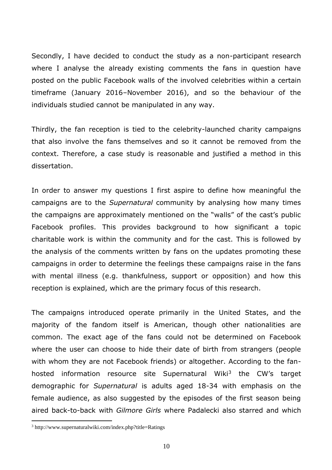Secondly, I have decided to conduct the study as a non-participant research where I analyse the already existing comments the fans in question have posted on the public Facebook walls of the involved celebrities within a certain timeframe (January 2016–November 2016), and so the behaviour of the individuals studied cannot be manipulated in any way.

Thirdly, the fan reception is tied to the celebrity-launched charity campaigns that also involve the fans themselves and so it cannot be removed from the context. Therefore, a case study is reasonable and justified a method in this dissertation.

In order to answer my questions I first aspire to define how meaningful the campaigns are to the *Supernatural* community by analysing how many times the campaigns are approximately mentioned on the "walls" of the cast's public Facebook profiles. This provides background to how significant a topic charitable work is within the community and for the cast. This is followed by the analysis of the comments written by fans on the updates promoting these campaigns in order to determine the feelings these campaigns raise in the fans with mental illness (e.g. thankfulness, support or opposition) and how this reception is explained, which are the primary focus of this research.

The campaigns introduced operate primarily in the United States, and the majority of the fandom itself is American, though other nationalities are common. The exact age of the fans could not be determined on Facebook where the user can choose to hide their date of birth from strangers (people with whom they are not Facebook friends) or altogether. According to the fanhosted information resource site Supernatural Wiki<sup>3</sup> the CW's target demographic for *Supernatural* is adults aged 18-34 with emphasis on the female audience, as also suggested by the episodes of the first season being aired back-to-back with *Gilmore Girls* where Padalecki also starred and which

<sup>3</sup> http://www.supernaturalwiki.com/index.php?title=Ratings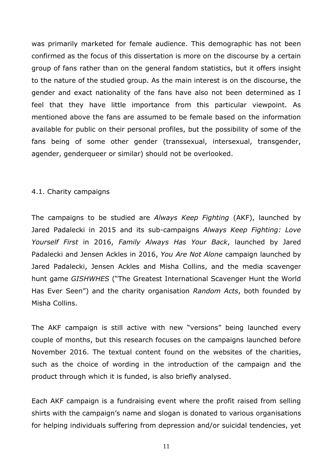was primarily marketed for female audience. This demographic has not been confirmed as the focus of this dissertation is more on the discourse by a certain group of fans rather than on the general fandom statistics, but it offers insight to the nature of the studied group. As the main interest is on the discourse, the gender and exact nationality of the fans have also not been determined as I feel that they have little importance from this particular viewpoint. As mentioned above the fans are assumed to be female based on the information available for public on their personal profiles, but the possibility of some of the fans being of some other gender (transsexual, intersexual, transgender, agender, genderqueer or similar) should not be overlooked.

# <span id="page-10-0"></span>4.1. Charity campaigns

The campaigns to be studied are *Always Keep Fighting* (AKF), launched by Jared Padalecki in 2015 and its sub-campaigns *Always Keep Fighting: Love Yourself First* in 2016, *Family Always Has Your Back*, launched by Jared Padalecki and Jensen Ackles in 2016, *You Are Not Alone* campaign launched by Jared Padalecki, Jensen Ackles and Misha Collins, and the media scavenger hunt game *GISHWHES* ("The Greatest International Scavenger Hunt the World Has Ever Seen") and the charity organisation *Random Acts*, both founded by Misha Collins.

The AKF campaign is still active with new "versions" being launched every couple of months, but this research focuses on the campaigns launched before November 2016. The textual content found on the websites of the charities, such as the choice of wording in the introduction of the campaign and the product through which it is funded, is also briefly analysed.

Each AKF campaign is a fundraising event where the profit raised from selling shirts with the campaign's name and slogan is donated to various organisations for helping individuals suffering from depression and/or suicidal tendencies, yet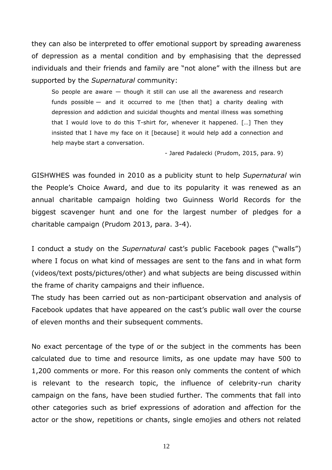they can also be interpreted to offer emotional support by spreading awareness of depression as a mental condition and by emphasising that the depressed individuals and their friends and family are "not alone" with the illness but are supported by the *Supernatural* community:

So people are aware — though it still can use all the awareness and research funds possible  $-$  and it occurred to me [then that] a charity dealing with depression and addiction and suicidal thoughts and mental illness was something that I would love to do this T-shirt for, whenever it happened. […] Then they insisted that I have my face on it [because] it would help add a connection and help maybe start a conversation.

- Jared Padalecki (Prudom, 2015, para. 9)

GISHWHES was founded in 2010 as a publicity stunt to help *Supernatural* win the People's Choice Award, and due to its popularity it was renewed as an annual charitable campaign holding two Guinness World Records for the biggest scavenger hunt and one for the largest number of pledges for a charitable campaign (Prudom 2013, para. 3-4).

I conduct a study on the *Supernatural* cast's public Facebook pages ("walls") where I focus on what kind of messages are sent to the fans and in what form (videos/text posts/pictures/other) and what subjects are being discussed within the frame of charity campaigns and their influence.

The study has been carried out as non-participant observation and analysis of Facebook updates that have appeared on the cast's public wall over the course of eleven months and their subsequent comments.

No exact percentage of the type of or the subject in the comments has been calculated due to time and resource limits, as one update may have 500 to 1,200 comments or more. For this reason only comments the content of which is relevant to the research topic, the influence of celebrity-run charity campaign on the fans, have been studied further. The comments that fall into other categories such as brief expressions of adoration and affection for the actor or the show, repetitions or chants, single emojies and others not related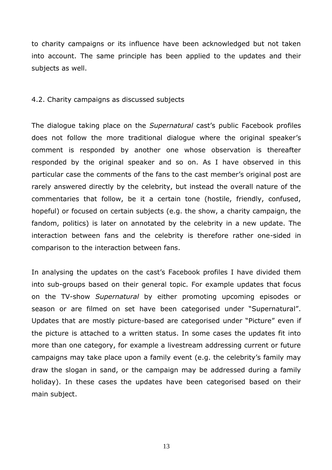to charity campaigns or its influence have been acknowledged but not taken into account. The same principle has been applied to the updates and their subjects as well.

#### <span id="page-12-0"></span>4.2. Charity campaigns as discussed subjects

The dialogue taking place on the *Supernatural* cast's public Facebook profiles does not follow the more traditional dialogue where the original speaker's comment is responded by another one whose observation is thereafter responded by the original speaker and so on. As I have observed in this particular case the comments of the fans to the cast member's original post are rarely answered directly by the celebrity, but instead the overall nature of the commentaries that follow, be it a certain tone (hostile, friendly, confused, hopeful) or focused on certain subjects (e.g. the show, a charity campaign, the fandom, politics) is later on annotated by the celebrity in a new update. The interaction between fans and the celebrity is therefore rather one-sided in comparison to the interaction between fans.

In analysing the updates on the cast's Facebook profiles I have divided them into sub-groups based on their general topic. For example updates that focus on the TV-show *Supernatural* by either promoting upcoming episodes or season or are filmed on set have been categorised under "Supernatural". Updates that are mostly picture-based are categorised under "Picture" even if the picture is attached to a written status. In some cases the updates fit into more than one category, for example a livestream addressing current or future campaigns may take place upon a family event (e.g. the celebrity's family may draw the slogan in sand, or the campaign may be addressed during a family holiday). In these cases the updates have been categorised based on their main subject.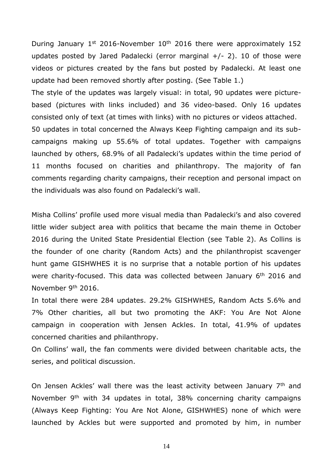During January  $1^{st}$  2016-November  $10^{th}$  2016 there were approximately 152 updates posted by Jared Padalecki (error marginal  $+/- 2$ ). 10 of those were videos or pictures created by the fans but posted by Padalecki. At least one update had been removed shortly after posting. (See Table 1.)

The style of the updates was largely visual: in total, 90 updates were picturebased (pictures with links included) and 36 video-based. Only 16 updates consisted only of text (at times with links) with no pictures or videos attached. 50 updates in total concerned the Always Keep Fighting campaign and its subcampaigns making up 55.6% of total updates. Together with campaigns launched by others, 68.9% of all Padalecki's updates within the time period of 11 months focused on charities and philanthropy. The majority of fan comments regarding charity campaigns, their reception and personal impact on the individuals was also found on Padalecki's wall.

Misha Collins' profile used more visual media than Padalecki's and also covered little wider subject area with politics that became the main theme in October 2016 during the United State Presidential Election (see Table 2). As Collins is the founder of one charity (Random Acts) and the philanthropist scavenger hunt game GISHWHES it is no surprise that a notable portion of his updates were charity-focused. This data was collected between January 6<sup>th</sup> 2016 and November 9th 2016.

In total there were 284 updates. 29.2% GISHWHES, Random Acts 5.6% and 7% Other charities, all but two promoting the AKF: You Are Not Alone campaign in cooperation with Jensen Ackles. In total, 41.9% of updates concerned charities and philanthropy.

On Collins' wall, the fan comments were divided between charitable acts, the series, and political discussion.

On Jensen Ackles' wall there was the least activity between January 7<sup>th</sup> and November 9<sup>th</sup> with 34 updates in total, 38% concerning charity campaigns (Always Keep Fighting: You Are Not Alone, GISHWHES) none of which were launched by Ackles but were supported and promoted by him, in number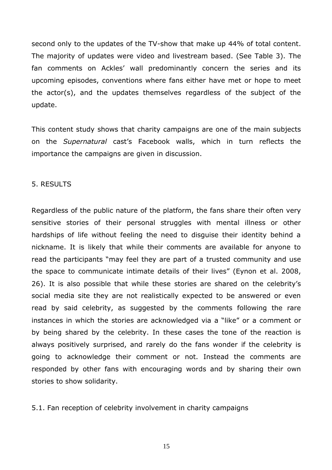second only to the updates of the TV-show that make up 44% of total content. The majority of updates were video and livestream based. (See Table 3). The fan comments on Ackles' wall predominantly concern the series and its upcoming episodes, conventions where fans either have met or hope to meet the actor(s), and the updates themselves regardless of the subject of the update.

This content study shows that charity campaigns are one of the main subjects on the *Supernatural* cast's Facebook walls, which in turn reflects the importance the campaigns are given in discussion.

## <span id="page-14-0"></span>5. RESULTS

Regardless of the public nature of the platform, the fans share their often very sensitive stories of their personal struggles with mental illness or other hardships of life without feeling the need to disguise their identity behind a nickname. It is likely that while their comments are available for anyone to read the participants "may feel they are part of a trusted community and use the space to communicate intimate details of their lives" (Eynon et al. 2008, 26). It is also possible that while these stories are shared on the celebrity's social media site they are not realistically expected to be answered or even read by said celebrity, as suggested by the comments following the rare instances in which the stories are acknowledged via a "like" or a comment or by being shared by the celebrity. In these cases the tone of the reaction is always positively surprised, and rarely do the fans wonder if the celebrity is going to acknowledge their comment or not. Instead the comments are responded by other fans with encouraging words and by sharing their own stories to show solidarity.

<span id="page-14-1"></span>5.1. Fan reception of celebrity involvement in charity campaigns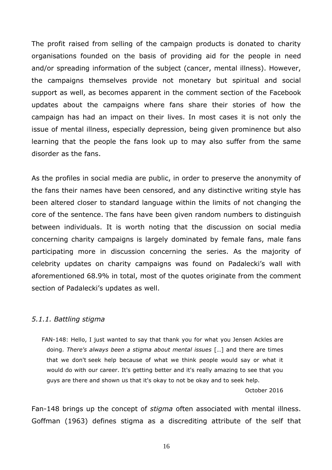The profit raised from selling of the campaign products is donated to charity organisations founded on the basis of providing aid for the people in need and/or spreading information of the subject (cancer, mental illness). However, the campaigns themselves provide not monetary but spiritual and social support as well, as becomes apparent in the comment section of the Facebook updates about the campaigns where fans share their stories of how the campaign has had an impact on their lives. In most cases it is not only the issue of mental illness, especially depression, being given prominence but also learning that the people the fans look up to may also suffer from the same disorder as the fans.

As the profiles in social media are public, in order to preserve the anonymity of the fans their names have been censored, and any distinctive writing style has been altered closer to standard language within the limits of not changing the core of the sentence. The fans have been given random numbers to distinguish between individuals. It is worth noting that the discussion on social media concerning charity campaigns is largely dominated by female fans, male fans participating more in discussion concerning the series. As the majority of celebrity updates on charity campaigns was found on Padalecki's wall with aforementioned 68.9% in total, most of the quotes originate from the comment section of Padalecki's updates as well.

## <span id="page-15-0"></span>*5.1.1. Battling stigma*

FAN-148: Hello, I just wanted to say that thank you for what you Jensen Ackles are doing. *There's always been a stigma about mental issues* […] and there are times that we don't seek help because of what we think people would say or what it would do with our career. It's getting better and it's really amazing to see that you guys are there and shown us that it's okay to not be okay and to seek help.

October 2016

Fan-148 brings up the concept of *stigma* often associated with mental illness. Goffman (1963) defines stigma as a discrediting attribute of the self that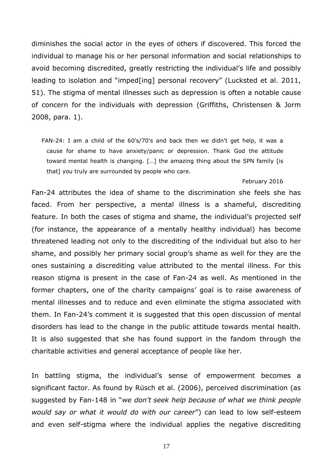diminishes the social actor in the eyes of others if discovered. This forced the individual to manage his or her personal information and social relationships to avoid becoming discredited, greatly restricting the individual's life and possibly leading to isolation and "imped[ing] personal recovery" (Lucksted et al. 2011, 51). The stigma of mental illnesses such as depression is often a notable cause of concern for the individuals with depression (Griffiths, Christensen & Jorm 2008, para. 1).

FAN-24: I am a child of the 60's/70's and back then we didn't get help, it was a cause for shame to have anxiety/panic or depression. Thank God the attitude toward mental health is changing. […] the amazing thing about the SPN family [is that] you truly are surrounded by people who care.

#### February 2016

Fan-24 attributes the idea of shame to the discrimination she feels she has faced. From her perspective, a mental illness is a shameful, discrediting feature. In both the cases of stigma and shame, the individual's projected self (for instance, the appearance of a mentally healthy individual) has become threatened leading not only to the discrediting of the individual but also to her shame, and possibly her primary social group's shame as well for they are the ones sustaining a discrediting value attributed to the mental illness. For this reason stigma is present in the case of Fan-24 as well. As mentioned in the former chapters, one of the charity campaigns' goal is to raise awareness of mental illnesses and to reduce and even eliminate the stigma associated with them. In Fan-24's comment it is suggested that this open discussion of mental disorders has lead to the change in the public attitude towards mental health. It is also suggested that she has found support in the fandom through the charitable activities and general acceptance of people like her.

In battling stigma, the individual's sense of empowerment becomes a significant factor. As found by Rüsch et al. (2006), perceived discrimination (as suggested by Fan-148 in "*we don't seek help because of what we think people would say or what it would do with our career*") can lead to low self-esteem and even self-stigma where the individual applies the negative discrediting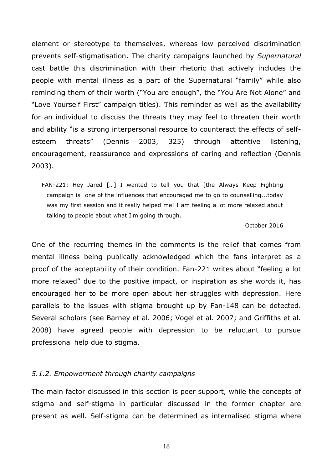element or stereotype to themselves, whereas low perceived discrimination prevents self-stigmatisation. The charity campaigns launched by *Supernatural* cast battle this discrimination with their rhetoric that actively includes the people with mental illness as a part of the Supernatural "family" while also reminding them of their worth ("You are enough", the "You Are Not Alone" and "Love Yourself First" campaign titles). This reminder as well as the availability for an individual to discuss the threats they may feel to threaten their worth and ability "is a strong interpersonal resource to counteract the effects of selfesteem threats" (Dennis 2003, 325) through attentive listening, encouragement, reassurance and expressions of caring and reflection (Dennis 2003).

FAN-221: Hey Jared […] I wanted to tell you that [the Always Keep Fighting campaign is] one of the influences that encouraged me to go to counselling...today was my first session and it really helped me! I am feeling a lot more relaxed about talking to people about what I'm going through.

#### October 2016

One of the recurring themes in the comments is the relief that comes from mental illness being publically acknowledged which the fans interpret as a proof of the acceptability of their condition. Fan-221 writes about "feeling a lot more relaxed" due to the positive impact, or inspiration as she words it, has encouraged her to be more open about her struggles with depression. Here parallels to the issues with stigma brought up by Fan-148 can be detected. Several scholars (see Barney et al. 2006; Vogel et al. 2007; and Griffiths et al. 2008) have agreed people with depression to be reluctant to pursue professional help due to stigma.

## <span id="page-17-0"></span>*5.1.2. Empowerment through charity campaigns*

The main factor discussed in this section is peer support, while the concepts of stigma and self-stigma in particular discussed in the former chapter are present as well. Self-stigma can be determined as internalised stigma where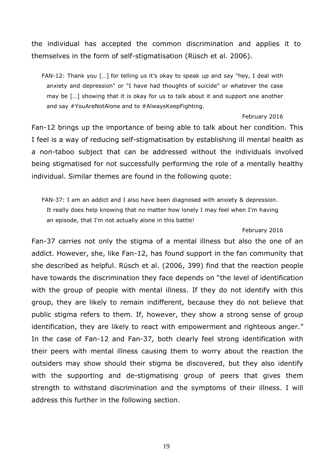the individual has accepted the common discrimination and applies it to themselves in the form of self-stigmatisation (Rüsch et al. 2006).

FAN-12: Thank you […] for telling us it's okay to speak up and say "hey, I deal with anxiety and depression" or "I have had thoughts of suicide" or whatever the case may be […] showing that it is okay for us to talk about it and support one another and say #YouAreNotAlone and to #AlwaysKeepFighting.

#### February 2016

Fan-12 brings up the importance of being able to talk about her condition. This I feel is a way of reducing self-stigmatisation by establishing ill mental health as a non-taboo subject that can be addressed without the individuals involved being stigmatised for not successfully performing the role of a mentally healthy individual. Similar themes are found in the following quote:

FAN-37: I am an addict and I also have been diagnosed with anxiety & depression. It really does help knowing that no matter how lonely I may feel when I'm having an episode, that I'm not actually alone in this battle!

#### February 2016

Fan-37 carries not only the stigma of a mental illness but also the one of an addict. However, she, like Fan-12, has found support in the fan community that she described as helpful. Rüsch et al. (2006, 399) find that the reaction people have towards the discrimination they face depends on "the level of identification with the group of people with mental illness. If they do not identify with this group, they are likely to remain indifferent, because they do not believe that public stigma refers to them. If, however, they show a strong sense of group identification, they are likely to react with empowerment and righteous anger." In the case of Fan-12 and Fan-37, both clearly feel strong identification with their peers with mental illness causing them to worry about the reaction the outsiders may show should their stigma be discovered, but they also identify with the supporting and de-stigmatising group of peers that gives them strength to withstand discrimination and the symptoms of their illness. I will address this further in the following section.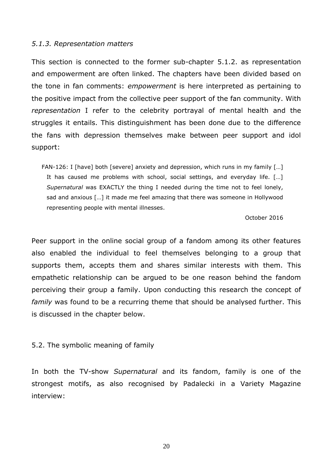# <span id="page-19-0"></span>*5.1.3. Representation matters*

This section is connected to the former sub-chapter 5.1.2. as representation and empowerment are often linked. The chapters have been divided based on the tone in fan comments: *empowerment* is here interpreted as pertaining to the positive impact from the collective peer support of the fan community. With *representation* I refer to the celebrity portrayal of mental health and the struggles it entails. This distinguishment has been done due to the difference the fans with depression themselves make between peer support and idol support:

FAN-126: I [have] both [severe] anxiety and depression, which runs in my family […] It has caused me problems with school, social settings, and everyday life. […] *Supernatural* was EXACTLY the thing I needed during the time not to feel lonely, sad and anxious […] it made me feel amazing that there was someone in Hollywood representing people with mental illnesses.

October 2016

Peer support in the online social group of a fandom among its other features also enabled the individual to feel themselves belonging to a group that supports them, accepts them and shares similar interests with them. This empathetic relationship can be argued to be one reason behind the fandom perceiving their group a family. Upon conducting this research the concept of *family* was found to be a recurring theme that should be analysed further. This is discussed in the chapter below.

# <span id="page-19-1"></span>5.2. The symbolic meaning of family

In both the TV-show *Supernatural* and its fandom, family is one of the strongest motifs, as also recognised by Padalecki in a Variety Magazine interview: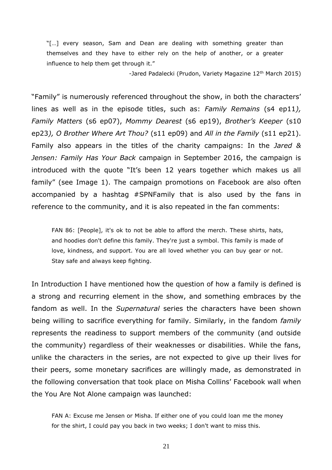"[…] every season, Sam and Dean are dealing with something greater than themselves and they have to either rely on the help of another, or a greater influence to help them get through it."

-Jared Padalecki (Prudon, Variety Magazine 12<sup>th</sup> March 2015)

"Family" is numerously referenced throughout the show, in both the characters' lines as well as in the episode titles, such as: *Family Remains* (s4 ep11*), Family Matters* (s6 ep07), *Mommy Dearest* (s6 ep19), *Brother's Keeper* (s10 ep23*), O Brother Where Art Thou?* (s11 ep09) and *All in the Family* (s11 ep21). Family also appears in the titles of the charity campaigns: In the *Jared & Jensen: Family Has Your Back* campaign in September 2016, the campaign is introduced with the quote "It's been 12 years together which makes us all family" (see Image 1). The campaign promotions on Facebook are also often accompanied by a hashtag #SPNFamily that is also used by the fans in reference to the community, and it is also repeated in the fan comments:

FAN 86: [People], it's ok to not be able to afford the merch. These shirts, hats, and hoodies don't define this family. They're just a symbol. This family is made of love, kindness, and support. You are all loved whether you can buy gear or not. Stay safe and always keep fighting.

In Introduction I have mentioned how the question of how a family is defined is a strong and recurring element in the show, and something embraces by the fandom as well. In the *Supernatural* series the characters have been shown being willing to sacrifice everything for family. Similarly, in the fandom *family* represents the readiness to support members of the community (and outside the community) regardless of their weaknesses or disabilities. While the fans, unlike the characters in the series, are not expected to give up their lives for their peers, some monetary sacrifices are willingly made, as demonstrated in the following conversation that took place on Misha Collins' Facebook wall when the You Are Not Alone campaign was launched:

FAN A: Excuse me Jensen or Misha. If either one of you could loan me the money for the shirt, I could pay you back in two weeks; I don't want to miss this.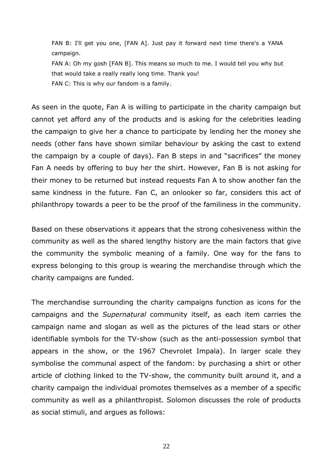FAN B: I'll get you one, [FAN A]. Just pay it forward next time there's a YANA campaign.

FAN A: Oh my gosh [FAN B]. This means so much to me. I would tell you why but that would take a really really long time. Thank you! FAN C: This is why our fandom is a family.

As seen in the quote, Fan A is willing to participate in the charity campaign but cannot yet afford any of the products and is asking for the celebrities leading the campaign to give her a chance to participate by lending her the money she needs (other fans have shown similar behaviour by asking the cast to extend the campaign by a couple of days). Fan B steps in and "sacrifices" the money Fan A needs by offering to buy her the shirt. However, Fan B is not asking for their money to be returned but instead requests Fan A to show another fan the same kindness in the future. Fan C, an onlooker so far, considers this act of philanthropy towards a peer to be the proof of the familiness in the community.

Based on these observations it appears that the strong cohesiveness within the community as well as the shared lengthy history are the main factors that give the community the symbolic meaning of a family. One way for the fans to express belonging to this group is wearing the merchandise through which the charity campaigns are funded.

The merchandise surrounding the charity campaigns function as icons for the campaigns and the *Supernatural* community itself, as each item carries the campaign name and slogan as well as the pictures of the lead stars or other identifiable symbols for the TV-show (such as the anti-possession symbol that appears in the show, or the 1967 Chevrolet Impala). In larger scale they symbolise the communal aspect of the fandom: by purchasing a shirt or other article of clothing linked to the TV-show, the community built around it, and a charity campaign the individual promotes themselves as a member of a specific community as well as a philanthropist. Solomon discusses the role of products as social stimuli, and argues as follows: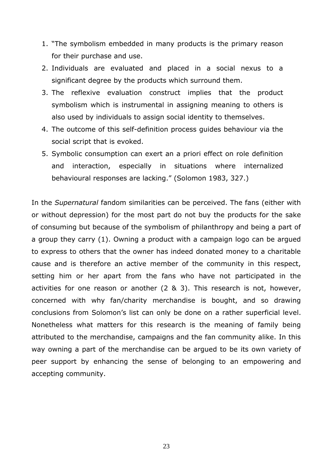- 1. "The symbolism embedded in many products is the primary reason for their purchase and use.
- 2. Individuals are evaluated and placed in a social nexus to a significant degree by the products which surround them.
- 3. The reflexive evaluation construct implies that the product symbolism which is instrumental in assigning meaning to others is also used by individuals to assign social identity to themselves.
- 4. The outcome of this self-definition process guides behaviour via the social script that is evoked.
- 5. Symbolic consumption can exert an a priori effect on role definition and interaction, especially in situations where internalized behavioural responses are lacking." (Solomon 1983, 327.)

In the *Supernatural* fandom similarities can be perceived. The fans (either with or without depression) for the most part do not buy the products for the sake of consuming but because of the symbolism of philanthropy and being a part of a group they carry (1). Owning a product with a campaign logo can be argued to express to others that the owner has indeed donated money to a charitable cause and is therefore an active member of the community in this respect, setting him or her apart from the fans who have not participated in the activities for one reason or another (2 & 3). This research is not, however, concerned with why fan/charity merchandise is bought, and so drawing conclusions from Solomon's list can only be done on a rather superficial level. Nonetheless what matters for this research is the meaning of family being attributed to the merchandise, campaigns and the fan community alike. In this way owning a part of the merchandise can be argued to be its own variety of peer support by enhancing the sense of belonging to an empowering and accepting community.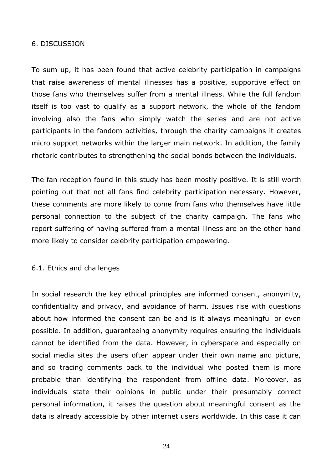# <span id="page-23-0"></span>6. DISCUSSION

To sum up, it has been found that active celebrity participation in campaigns that raise awareness of mental illnesses has a positive, supportive effect on those fans who themselves suffer from a mental illness. While the full fandom itself is too vast to qualify as a support network, the whole of the fandom involving also the fans who simply watch the series and are not active participants in the fandom activities, through the charity campaigns it creates micro support networks within the larger main network. In addition, the family rhetoric contributes to strengthening the social bonds between the individuals.

The fan reception found in this study has been mostly positive. It is still worth pointing out that not all fans find celebrity participation necessary. However, these comments are more likely to come from fans who themselves have little personal connection to the subject of the charity campaign. The fans who report suffering of having suffered from a mental illness are on the other hand more likely to consider celebrity participation empowering.

## <span id="page-23-1"></span>6.1. Ethics and challenges

In social research the key ethical principles are informed consent, anonymity, confidentiality and privacy, and avoidance of harm. Issues rise with questions about how informed the consent can be and is it always meaningful or even possible. In addition, guaranteeing anonymity requires ensuring the individuals cannot be identified from the data. However, in cyberspace and especially on social media sites the users often appear under their own name and picture, and so tracing comments back to the individual who posted them is more probable than identifying the respondent from offline data. Moreover, as individuals state their opinions in public under their presumably correct personal information, it raises the question about meaningful consent as the data is already accessible by other internet users worldwide. In this case it can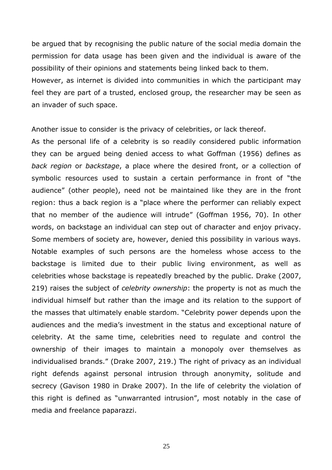be argued that by recognising the public nature of the social media domain the permission for data usage has been given and the individual is aware of the possibility of their opinions and statements being linked back to them. However, as internet is divided into communities in which the participant may feel they are part of a trusted, enclosed group, the researcher may be seen as an invader of such space.

Another issue to consider is the privacy of celebrities, or lack thereof.

As the personal life of a celebrity is so readily considered public information they can be argued being denied access to what Goffman (1956) defines as *back region* or *backstage*, a place where the desired front, or a collection of symbolic resources used to sustain a certain performance in front of "the audience" (other people), need not be maintained like they are in the front region: thus a back region is a "place where the performer can reliably expect that no member of the audience will intrude" (Goffman 1956, 70). In other words, on backstage an individual can step out of character and enjoy privacy. Some members of society are, however, denied this possibility in various ways. Notable examples of such persons are the homeless whose access to the backstage is limited due to their public living environment, as well as celebrities whose backstage is repeatedly breached by the public. Drake (2007, 219) raises the subject of *celebrity ownership*: the property is not as much the individual himself but rather than the image and its relation to the support of the masses that ultimately enable stardom. "Celebrity power depends upon the audiences and the media's investment in the status and exceptional nature of celebrity. At the same time, celebrities need to regulate and control the ownership of their images to maintain a monopoly over themselves as individualised brands." (Drake 2007, 219.) The right of privacy as an individual right defends against personal intrusion through anonymity, solitude and secrecy (Gavison 1980 in Drake 2007). In the life of celebrity the violation of this right is defined as "unwarranted intrusion", most notably in the case of media and freelance paparazzi.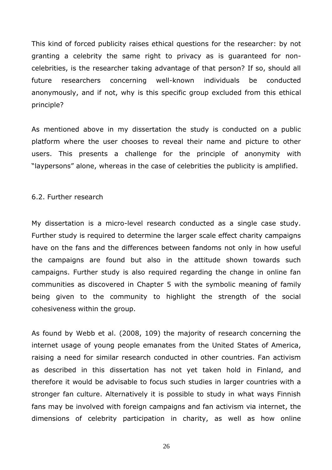This kind of forced publicity raises ethical questions for the researcher: by not granting a celebrity the same right to privacy as is guaranteed for noncelebrities, is the researcher taking advantage of that person? If so, should all future researchers concerning well-known individuals be conducted anonymously, and if not, why is this specific group excluded from this ethical principle?

As mentioned above in my dissertation the study is conducted on a public platform where the user chooses to reveal their name and picture to other users. This presents a challenge for the principle of anonymity with "laypersons" alone, whereas in the case of celebrities the publicity is amplified.

#### <span id="page-25-0"></span>6.2. Further research

My dissertation is a micro-level research conducted as a single case study. Further study is required to determine the larger scale effect charity campaigns have on the fans and the differences between fandoms not only in how useful the campaigns are found but also in the attitude shown towards such campaigns. Further study is also required regarding the change in online fan communities as discovered in Chapter 5 with the symbolic meaning of family being given to the community to highlight the strength of the social cohesiveness within the group.

As found by Webb et al. (2008, 109) the majority of research concerning the internet usage of young people emanates from the United States of America, raising a need for similar research conducted in other countries. Fan activism as described in this dissertation has not yet taken hold in Finland, and therefore it would be advisable to focus such studies in larger countries with a stronger fan culture. Alternatively it is possible to study in what ways Finnish fans may be involved with foreign campaigns and fan activism via internet, the dimensions of celebrity participation in charity, as well as how online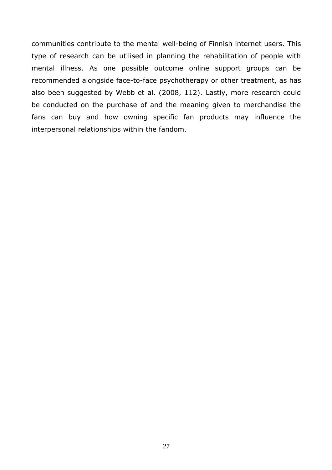communities contribute to the mental well-being of Finnish internet users. This type of research can be utilised in planning the rehabilitation of people with mental illness. As one possible outcome online support groups can be recommended alongside face-to-face psychotherapy or other treatment, as has also been suggested by Webb et al. (2008, 112). Lastly, more research could be conducted on the purchase of and the meaning given to merchandise the fans can buy and how owning specific fan products may influence the interpersonal relationships within the fandom.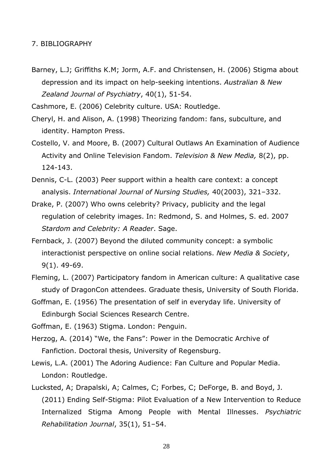#### <span id="page-27-0"></span>7. BIBLIOGRAPHY

Barney, L.J; Griffiths K.M; Jorm, A.F. and Christensen, H. (2006) Stigma about depression and its impact on help-seeking intentions. *Australian & New Zealand Journal of Psychiatry*, 40(1), 51-54.

Cashmore, E. (2006) Celebrity culture. USA: Routledge.

- Cheryl, H. and Alison, A. (1998) Theorizing fandom: fans, subculture, and identity. Hampton Press.
- Costello, V. and Moore, B. (2007) Cultural Outlaws An Examination of Audience Activity and Online Television Fandom. *Television & New Media,* 8(2), pp. 124-143.
- Dennis, C-L. (2003) Peer support within a health care context: a concept analysis. *International Journal of Nursing Studies,* 40(2003), 321–332.
- Drake, P. (2007) Who owns celebrity? Privacy, publicity and the legal regulation of celebrity images. In: Redmond, S. and Holmes, S. ed. 2007 *Stardom and Celebrity: A Reader*. Sage.
- Fernback, J. (2007) Beyond the diluted community concept: a symbolic interactionist perspective on online social relations. *New Media & Society*, 9(1). 49-69.
- Fleming, L. (2007) Participatory fandom in American culture: A qualitative case study of DragonCon attendees. Graduate thesis, University of South Florida.
- Goffman, E. (1956) The presentation of self in everyday life. University of Edinburgh Social Sciences Research Centre.
- Goffman, E. (1963) Stigma. London: Penguin.
- Herzog, A. (2014) "We, the Fans": Power in the Democratic Archive of Fanfiction. Doctoral thesis, University of Regensburg.
- Lewis, L.A. (2001) The Adoring Audience: Fan Culture and Popular Media. London: Routledge.
- Lucksted, A; Drapalski, A; Calmes, C; Forbes, C; DeForge, B. and Boyd, J. (2011) Ending Self-Stigma: Pilot Evaluation of a New Intervention to Reduce Internalized Stigma Among People with Mental Illnesses. *Psychiatric Rehabilitation Journal*, 35(1), 51–54.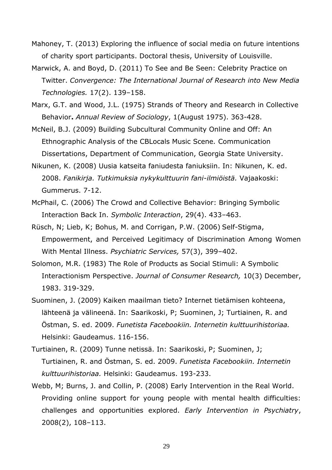Mahoney, T. (2013) Exploring the influence of social media on future intentions of charity sport participants. Doctoral thesis, University of Louisville.

- Marwick, A. and Boyd, D. (2011) To See and Be Seen: Celebrity Practice on Twitter. *Convergence: The International Journal of Research into New Media Technologies.* 17(2). 139–158.
- Marx, G.T. and Wood, J.L. (1975) Strands of Theory and Research in Collective Behavior**.** *Annual Review of Sociology*, 1(August 1975). 363-428.
- McNeil, B.J. (2009) Building Subcultural Community Online and Off: An Ethnographic Analysis of the CBLocals Music Scene*.* Communication Dissertations, Department of Communication, Georgia State University.
- Nikunen, K. (2008) Uusia katseita faniudesta faniuksiin. In: Nikunen, K. ed. 2008. *Fanikirja. Tutkimuksia nykykulttuurin fani-ilmiöistä.* Vajaakoski: Gummerus. 7-12.
- McPhail, C. (2006) The Crowd and Collective Behavior: Bringing Symbolic Interaction Back In. *Symbolic Interaction*, 29(4). 433–463.
- Rüsch, N; Lieb, K; Bohus, M. and Corrigan, P.W. (2006) Self-Stigma, Empowerment, and Perceived Legitimacy of Discrimination Among Women With Mental Illness. *Psychiatric Services,* 57(3), 399–402.
- Solomon, M.R. (1983) The Role of Products as Social Stimuli: A Symbolic Interactionism Perspective. *Journal of Consumer Research,* 10(3) December, 1983. 319-329.
- Suominen, J. (2009) Kaiken maailman tieto? Internet tietämisen kohteena, lähteenä ja välineenä. In: Saarikoski, P; Suominen, J; Turtiainen, R. and Östman, S. ed. 2009. *Funetista Facebookiin. Internetin kulttuurihistoriaa.* Helsinki: Gaudeamus. 116-156.
- Turtiainen, R. (2009) Tunne netissä. In: Saarikoski, P; Suominen, J; Turtiainen, R. and Östman, S. ed. 2009. *Funetista Facebookiin. Internetin kulttuurihistoriaa.* Helsinki: Gaudeamus. 193-233.
- Webb, M; Burns, J. and Collin, P. (2008) Early Intervention in the Real World. Providing online support for young people with mental health difficulties: challenges and opportunities explored. *Early Intervention in Psychiatry*, 2008(2), 108–113.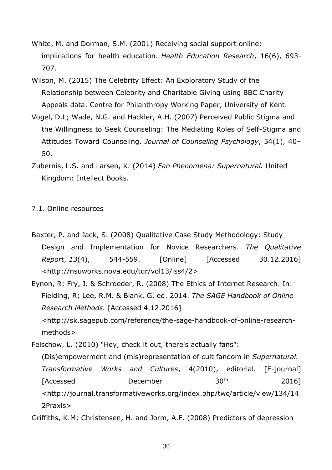- White, M. and Dorman, S.M. (2001) Receiving social support online: implications for health education. *Health Education Research*, 16(6), 693- 707.
- Wilson, M. (2015) The Celebrity Effect: An Exploratory Study of the Relationship between Celebrity and Charitable Giving using BBC Charity Appeals data. Centre for Philanthropy Working Paper, University of Kent.
- Vogel, D.L; Wade, N.G. and Hackler, A.H. (2007) Perceived Public Stigma and the Willingness to Seek Counseling: The Mediating Roles of Self-Stigma and Attitudes Toward Counseling. *Journal of Counseling Psychology*, 54(1), 40– 50.
- Zubernis, L.S. and Larsen, K. (2014) *Fan Phenomena: Supernatural.* United Kingdom: Intellect Books.

# <span id="page-29-0"></span>7.1. Online resources

- Baxter, P. and Jack, S. (2008) Qualitative Case Study Methodology: Study Design and Implementation for Novice Researchers. *The Qualitative Report*, *13*(4), 544-559. [Online] [Accessed 30.12.2016] <http://nsuworks.nova.edu/tqr/vol13/iss4/2>
- Eynon, R; Fry, J. & Schroeder, R. (2008) The Ethics of Internet Research. In: Fielding, R; Lee, R.M. & Blank, G. ed. 2014. *The SAGE Handbook of Online Research Methods.* [Accessed 4.12.2016] <http://sk.sagepub.com/reference/the-sage-handbook-of-online-researchmethods>

Felschow, L. (2010) "Hey, check it out, there's actually fans": (Dis)empowerment and (mis)representation of cult fandom in *Supernatural. Transformative Works and Cultures*, 4(2010), editorial. [E-journal] [Accessed December 30<sup>th</sup> 2016] <http://journal.transformativeworks.org/index.php/twc/article/view/134/14 2Praxis>

Griffiths, K.M; Christensen, H. and Jorm, A.F. (2008) Predictors of depression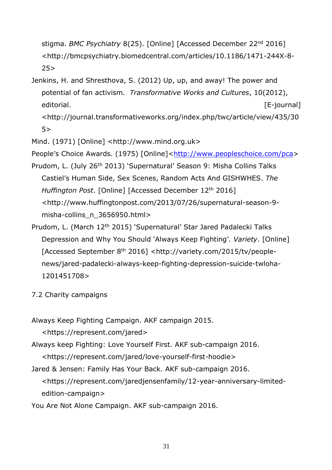stigma. *BMC Psychiatry* 8(25). [Online] [Accessed December 22nd 2016] <http://bmcpsychiatry.biomedcentral.com/articles/10.1186/1471-244X-8-  $25$ 

Jenkins, H. and Shresthova, S. (2012) Up, up, and away! The power and potential of fan activism. *Transformative Works and Cultures*, 10(2012), editorial. The contract of the contract of the contract of the contract of the contract of the contract of the contract of the contract of the contract of the contract of the contract of the contract of the contract of the

<http://journal.transformativeworks.org/index.php/twc/article/view/435/30 5>

Mind. (1971) [Online] <http://www.mind.org.uk>

People's Choice Awards. (1975) [Online][<http://www.peopleschoice.com/pca>](http://www.peopleschoice.com/pca)

- Prudom, L. (July 26<sup>th</sup> 2013) 'Supernatural' Season 9: Misha Collins Talks Castiel's Human Side, Sex Scenes, Random Acts And GISHWHES. *The Huffington Post*. [Online] [Accessed December 12th 2016] <http://www.huffingtonpost.com/2013/07/26/supernatural-season-9 misha-collins\_n\_3656950.html>
- Prudom, L. (March 12<sup>th</sup> 2015) 'Supernatural' Star Jared Padalecki Talks Depression and Why You Should 'Always Keep Fighting'. *Variety*. [Online] [Accessed September 8th 2016] <http://variety.com/2015/tv/peoplenews/jared-padalecki-always-keep-fighting-depression-suicide-twloha-1201451708>
- <span id="page-30-0"></span>7.2 Charity campaigns

Always Keep Fighting Campaign. AKF campaign 2015.

<https://represent.com/jared>

Always keep Fighting: Love Yourself First. AKF sub-campaign 2016.

- <https://represent.com/jared/love-yourself-first-hoodie>
- Jared & Jensen: Family Has Your Back. AKF sub-campaign 2016.

<https://represent.com/jaredjensenfamily/12-year-anniversary-limitededition-campaign>

You Are Not Alone Campaign. AKF sub-campaign 2016.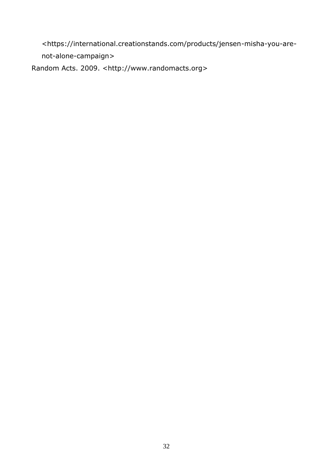<https://international.creationstands.com/products/jensen-misha-you-arenot-alone-campaign> Random Acts. 2009. <http://www.randomacts.org>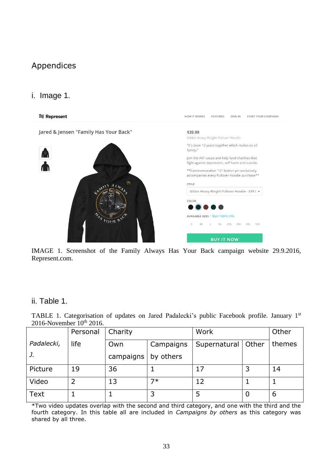# <span id="page-32-0"></span>Appendices

# <span id="page-32-1"></span>i. Image 1.



IMAGE 1. Screenshot of the Family Always Has Your Back campaign website 29.9.2016, Represent.com.

# <span id="page-32-2"></span>ii. Table 1.

TABLE 1. Categorisation of updates on Jared Padalecki's public Facebook profile. January 1st 2016-November 10<sup>th</sup> 2016.

|             | Personal | Charity   |           | Work         |       | Other  |
|-------------|----------|-----------|-----------|--------------|-------|--------|
| Padalecki,  | life     | Own       | Campaigns | Supernatural | Other | themes |
| J.          |          | campaigns | by others |              |       |        |
| Picture     | 19       | 36        |           | 17           | っ     | 14     |
| Video       | 2        | 13        | 7*        | 12           |       |        |
| <b>Text</b> |          |           |           |              | 0     | 6      |

\*Two video updates overlap with the second and third category, and one with the third and the fourth category. In this table all are included in *Campaigns by others* as this category was shared by all three.